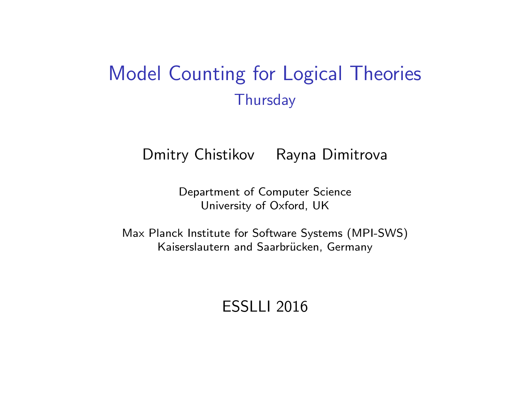#### Model Counting for Logical Theories **Thursday**

Dmitry Chistikov Rayna Dimitrova

Department of Computer Science University of Oxford, UK

Max Planck Institute for Software Systems (MPI-SWS) Kaiserslautern and Saarbrücken, Germany

ESSLLI 2016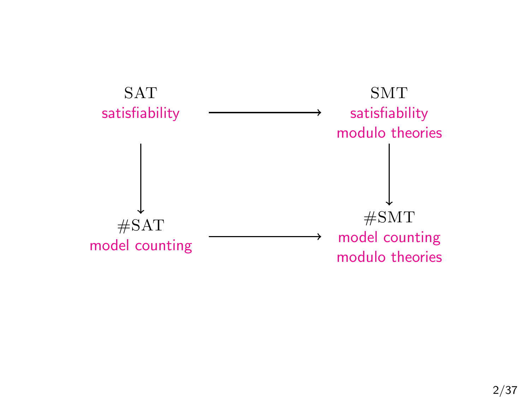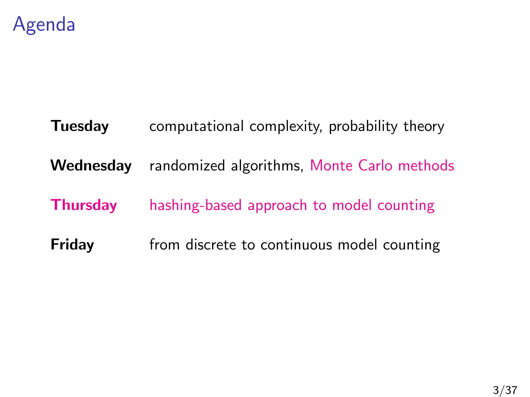

# **Tuesday** computational complexity, probability theory Wednesday randomized algorithms, Monte Carlo methods **Thursday** hashing-based approach to model counting **Friday** from discrete to continuous model counting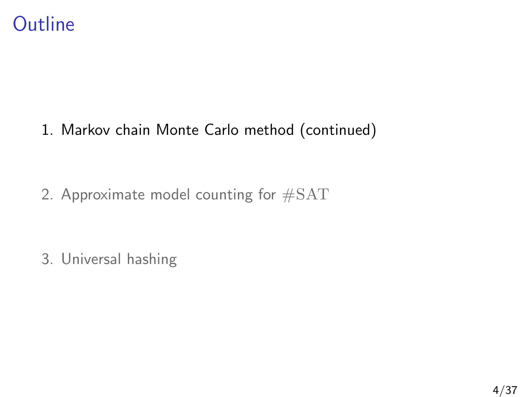

#### 1. [Markov chain Monte Carlo method \(continued\)](#page-3-0)

2. [Approximate model counting for](#page-15-0) #SAT

<span id="page-3-0"></span>3. [Universal hashing](#page-28-0)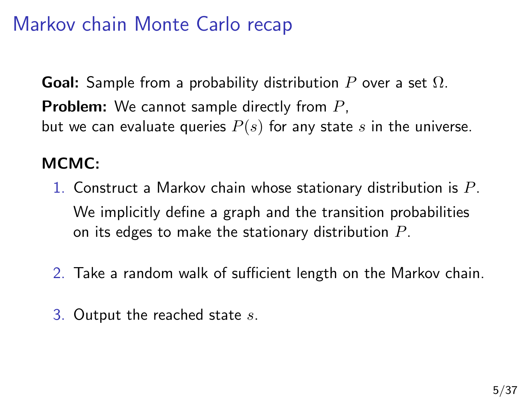## Markov chain Monte Carlo recap

**Goal:** Sample from a probability distribution P over a set  $\Omega$ . **Problem:** We cannot sample directly from P, but we can evaluate queries  $P(s)$  for any state s in the universe.

#### MCMC:

- 1. Construct a Markov chain whose stationary distribution is  $P$ . We implicitly define a graph and the transition probabilities on its edges to make the stationary distribution  $P$ .
- 2. Take a random walk of sufficient length on the Markov chain.
- 3. Output the reached state  $s$ .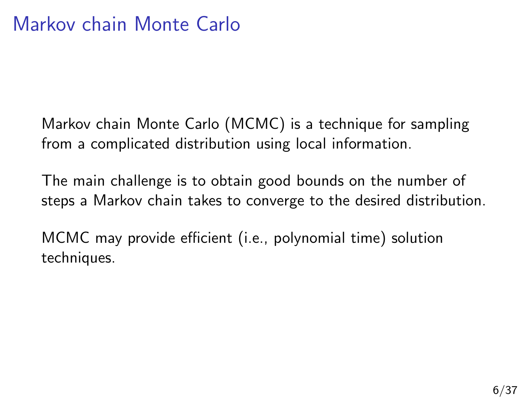Markov chain Monte Carlo (MCMC) is a technique for sampling from a complicated distribution using local information.

The main challenge is to obtain good bounds on the number of steps a Markov chain takes to converge to the desired distribution.

MCMC may provide efficient (i.e., polynomial time) solution techniques.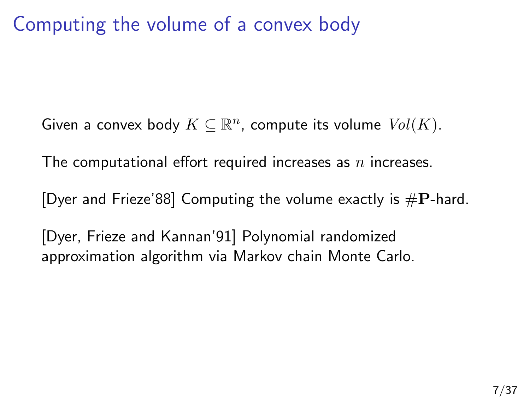#### Computing the volume of a convex body

Given a convex body  $K \subseteq \mathbb{R}^n$ , compute its volume  $\mathit{Vol}(K)$ .

The computational effort required increases as  $n$  increases.

[Dyer and Frieze'88] Computing the volume exactly is  $\#P$ -hard.

[Dyer, Frieze and Kannan'91] Polynomial randomized approximation algorithm via Markov chain Monte Carlo.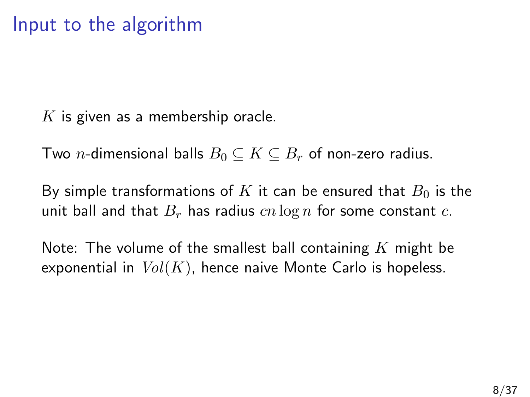$K$  is given as a membership oracle.

Two *n*-dimensional balls  $B_0 \subseteq K \subseteq B_r$  of non-zero radius.

By simple transformations of K it can be ensured that  $B_0$  is the unit ball and that  $B_r$  has radius  $cn \log n$  for some constant c.

Note: The volume of the smallest ball containing  $K$  might be exponential in  $Vol(K)$ , hence naive Monte Carlo is hopeless.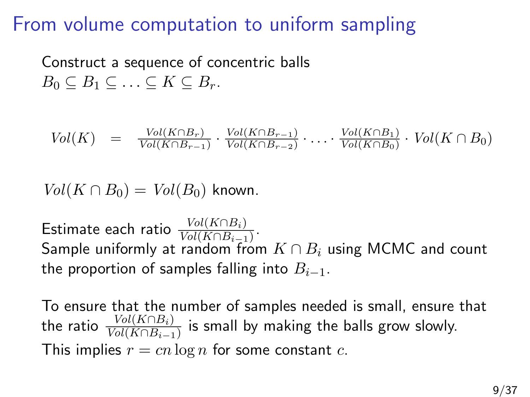#### From volume computation to uniform sampling

Construct a sequence of concentric balls  $B_0 \subseteq B_1 \subseteq \ldots \subseteq K \subseteq B_r$ .

$$
Vol(K) = \frac{Vol(K \cap B_r)}{Vol(K \cap B_{r-1})} \cdot \frac{Vol(K \cap B_{r-1})}{Vol(K \cap B_{r-2})} \cdot \ldots \cdot \frac{Vol(K \cap B_1)}{Vol(K \cap B_0)} \cdot Vol(K \cap B_0)
$$

 $Vol(K \cap B_0) = Vol(B_0)$  known.

Estimate each ratio  $\frac{Vol(K \cap B_i)}{Vol(K \cap B_{i-1})}$ . Sample uniformly at random from  $K \cap B_i$  using MCMC and count the proportion of samples falling into  $B_{i-1}$ .

To ensure that the number of samples needed is small, ensure that the ratio  $\frac{Vol(K \cap B_i)}{Vol(K \cap B_{i-1})}$  is small by making the balls grow slowly. This implies  $r = cn \log n$  for some constant c.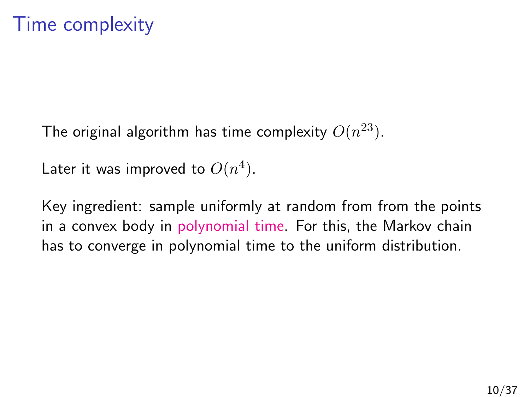The original algorithm has time complexity  $O(n^{23})$ .

Later it was improved to  $O(n^4)$ .

Key ingredient: sample uniformly at random from from the points in a convex body in polynomial time. For this, the Markov chain has to converge in polynomial time to the uniform distribution.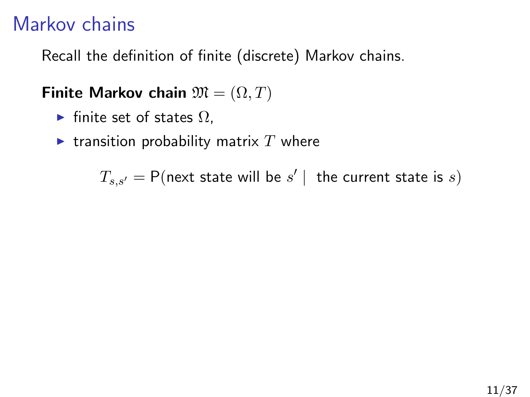#### Markov chains

Recall the definition of finite (discrete) Markov chains.

Finite Markov chain  $\mathfrak{M} = (\Omega, T)$ 

- $\blacktriangleright$  finite set of states  $\Omega$ ,
- $\blacktriangleright$  transition probability matrix  $T$  where

$$
T_{s,s'} = \mathsf{P}(\text{next state will be } s' \mid \text{ the current state is } s)
$$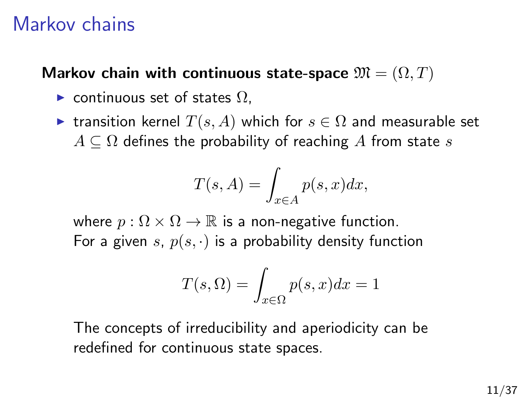#### Markov chains

#### Markov chain with continuous state-space  $\mathfrak{M} = (\Omega, T)$

- ► continuous set of states  $\Omega$ ,
- ► transition kernel  $T(s, A)$  which for  $s \in \Omega$  and measurable set  $A \subseteq \Omega$  defines the probability of reaching A from state s

$$
T(s, A) = \int_{x \in A} p(s, x) dx,
$$

where  $p : \Omega \times \Omega \to \mathbb{R}$  is a non-negative function. For a given s,  $p(s, \cdot)$  is a probability density function

$$
T(s,\Omega) = \int_{x \in \Omega} p(s,x)dx = 1
$$

The concepts of irreducibility and aperiodicity can be redefined for continuous state spaces.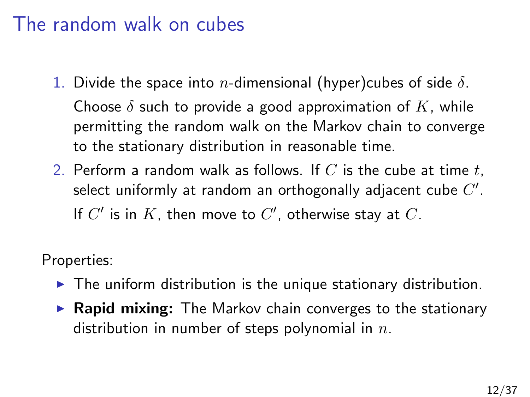#### The random walk on cubes

- 1. Divide the space into *n*-dimensional (hyper)cubes of side  $\delta$ . Choose  $\delta$  such to provide a good approximation of K, while permitting the random walk on the Markov chain to converge to the stationary distribution in reasonable time.
- 2. Perform a random walk as follows. If C is the cube at time t, select uniformly at random an orthogonally adjacent cube  $C^{\prime}.$ If  $C'$  is in  $K$ , then move to  $C'$ , otherwise stay at  $C$ .

Properties:

- $\blacktriangleright$  The uniform distribution is the unique stationary distribution.
- $\triangleright$  Rapid mixing: The Markov chain converges to the stationary distribution in number of steps polynomial in  $n$ .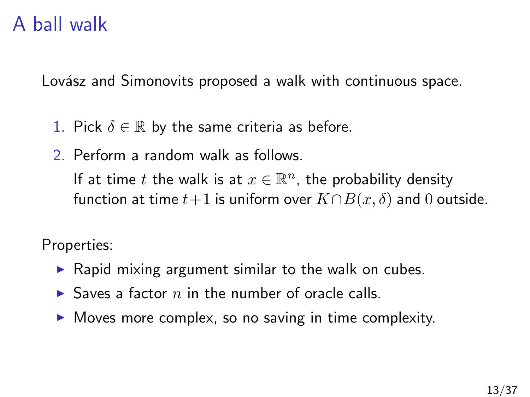#### A ball walk

Lovász and Simonovits proposed a walk with continuous space.

- 1. Pick  $\delta \in \mathbb{R}$  by the same criteria as before.
- 2. Perform a random walk as follows.

If at time t the walk is at  $x \in \mathbb{R}^n$ , the probability density function at time  $t+1$  is uniform over  $K \cap B(x, \delta)$  and 0 outside.

Properties:

- $\triangleright$  Rapid mixing argument similar to the walk on cubes.
- $\triangleright$  Saves a factor n in the number of oracle calls.
- $\triangleright$  Moves more complex, so no saving in time complexity.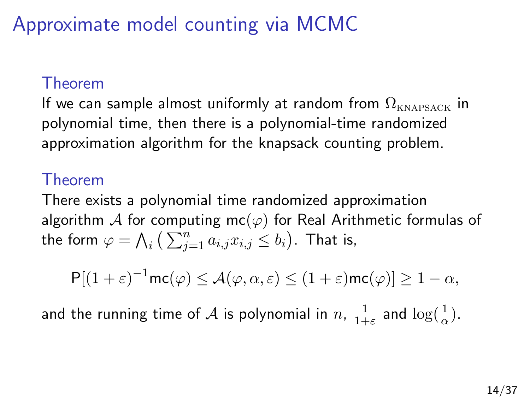# Approximate model counting via MCMC

#### Theorem

If we can sample almost uniformly at random from  $\Omega_{\text{KNAPSACK}}$  in polynomial time, then there is a polynomial-time randomized approximation algorithm for the knapsack counting problem.

#### Theorem

There exists a polynomial time randomized approximation algorithm A for computing mc( $\varphi$ ) for Real Arithmetic formulas of the form  $\varphi = \bigwedge_i \big( \sum_{j=1}^n a_{i,j} x_{i,j} \leq b_i \big).$  That is,

$$
\mathsf{P}[(1+\varepsilon)^{-1}\mathsf{mc}(\varphi)\leq\mathcal{A}(\varphi,\alpha,\varepsilon)\leq (1+\varepsilon)\mathsf{mc}(\varphi)]\geq 1-\alpha,
$$

and the running time of  ${\cal A}$  is polynomial in  $n, \, \frac{1}{1+2}$  $\frac{1}{1+\varepsilon}$  and  $\log(\frac{1}{\alpha})$ .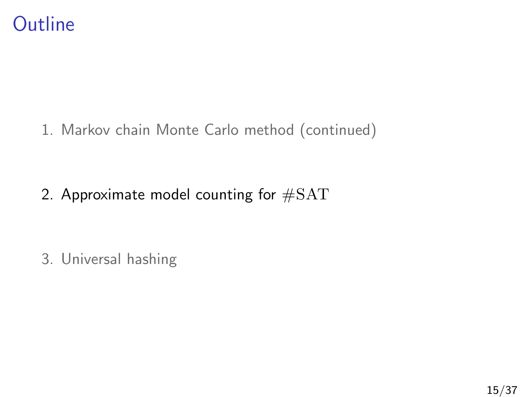

1. [Markov chain Monte Carlo method \(continued\)](#page-3-0)

2. [Approximate model counting for](#page-15-0)  $\#SAT$ 

<span id="page-15-0"></span>3. [Universal hashing](#page-28-0)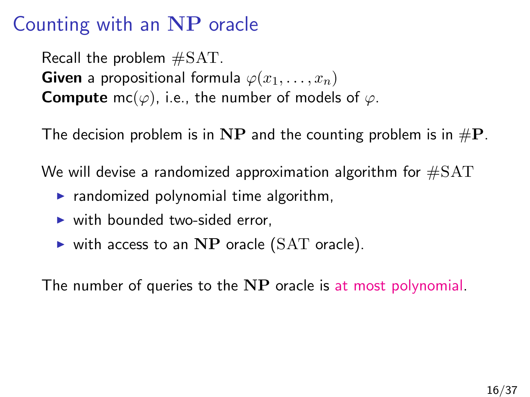### Counting with an NP oracle

Recall the problem #SAT. **Given** a propositional formula  $\varphi(x_1, \ldots, x_n)$ **Compute** mc( $\varphi$ ), i.e., the number of models of  $\varphi$ .

The decision problem is in NP and the counting problem is in  $\#P$ .

We will devise a randomized approximation algorithm for  $\#SAT$ 

- $\triangleright$  randomized polynomial time algorithm,
- $\triangleright$  with bounded two-sided error.
- $\triangleright$  with access to an NP oracle (SAT oracle).

The number of queries to the NP oracle is at most polynomial.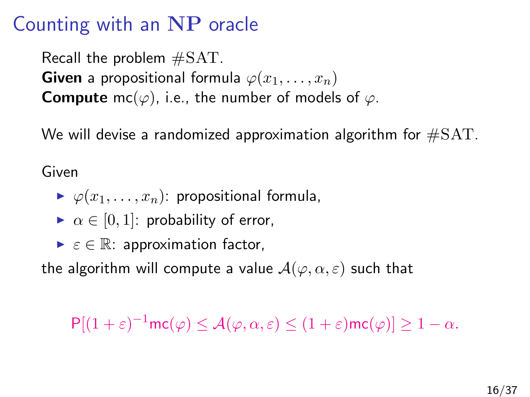### Counting with an NP oracle

Recall the problem #SAT. **Given** a propositional formula  $\varphi(x_1, \ldots, x_n)$ **Compute** mc( $\varphi$ ), i.e., the number of models of  $\varphi$ .

We will devise a randomized approximation algorithm for  $\#SAT$ .

Given

- $\blacktriangleright \varphi(x_1, \ldots, x_n)$ : propositional formula,
- $\triangleright \alpha \in [0,1]$ : probability of error,
- $\triangleright$   $\varepsilon \in \mathbb{R}$ : approximation factor,

the algorithm will compute a value  $\mathcal{A}(\varphi, \alpha, \varepsilon)$  such that

 $P[(1+\varepsilon)^{-1}mc(\varphi)\leq\mathcal{A}(\varphi,\alpha,\varepsilon)\leq(1+\varepsilon)mc(\varphi)]\geq1-\alpha.$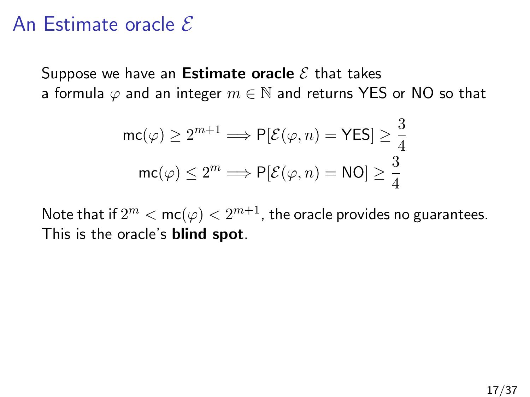#### An Estimate oracle  $\mathcal E$

Suppose we have an **Estimate oracle**  $\mathcal{E}$  that takes a formula  $\varphi$  and an integer  $m \in \mathbb{N}$  and returns YES or NO so that

$$
\mathsf{mc}(\varphi) \ge 2^{m+1} \Longrightarrow \mathsf{P}[\mathcal{E}(\varphi, n) = \mathsf{YES}] \ge \frac{3}{4}
$$

$$
\mathsf{mc}(\varphi) \le 2^m \Longrightarrow \mathsf{P}[\mathcal{E}(\varphi, n) = \mathsf{NO}] \ge \frac{3}{4}
$$

Note that if  $2^m < \mathsf{mc}(\varphi) < 2^{m+1}$ , the oracle provides no guarantees. This is the oracle's **blind spot**.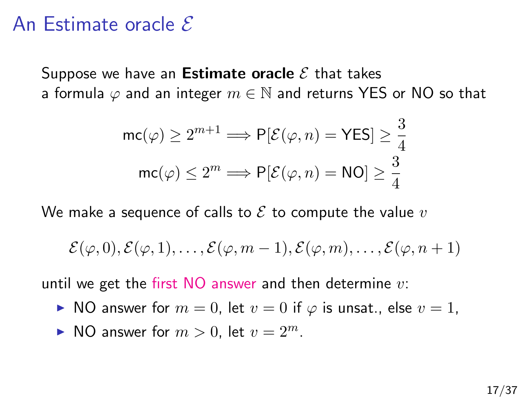#### An Estimate oracle  $\mathcal E$

Suppose we have an **Estimate oracle**  $\mathcal{E}$  that takes a formula  $\varphi$  and an integer  $m \in \mathbb{N}$  and returns YES or NO so that

$$
\mathsf{mc}(\varphi) \ge 2^{m+1} \Longrightarrow \mathsf{P}[\mathcal{E}(\varphi, n) = \mathsf{YES}] \ge \frac{3}{4}
$$

$$
\mathsf{mc}(\varphi) \le 2^m \Longrightarrow \mathsf{P}[\mathcal{E}(\varphi, n) = \mathsf{NO}] \ge \frac{3}{4}
$$

We make a sequence of calls to  $\mathcal E$  to compute the value  $v$ 

$$
\mathcal{E}(\varphi,0),\mathcal{E}(\varphi,1),\ldots,\mathcal{E}(\varphi,m-1),\mathcal{E}(\varphi,m),\ldots,\mathcal{E}(\varphi,n+1)
$$

until we get the first  $NO$  answer and then determine  $v$ .

- ► NO answer for  $m = 0$ , let  $v = 0$  if  $\varphi$  is unsat., else  $v = 1$ ,
- $\blacktriangleright$  NO answer for  $m > 0$ , let  $v = 2^m$ .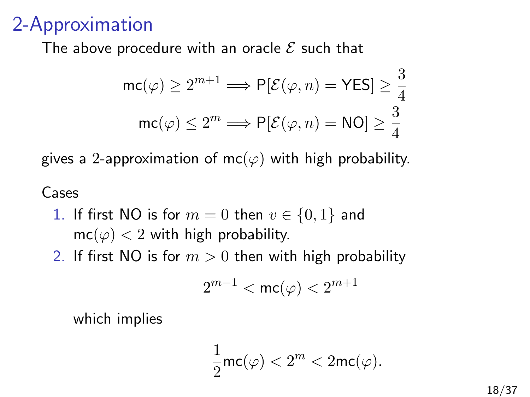#### 2-Approximation

The above procedure with an oracle  $\mathcal E$  such that

$$
\mathsf{mc}(\varphi) \ge 2^{m+1} \Longrightarrow \mathsf{P}[\mathcal{E}(\varphi, n) = \mathsf{YES}] \ge \frac{3}{4}
$$

$$
\mathsf{mc}(\varphi) \le 2^m \Longrightarrow \mathsf{P}[\mathcal{E}(\varphi, n) = \mathsf{NO}] \ge \frac{3}{4}
$$

gives a 2-approximation of mc( $\varphi$ ) with high probability.

#### Cases

- 1. If first NO is for  $m = 0$  then  $v \in \{0, 1\}$  and  $mc(\varphi) < 2$  with high probability.
- 2. If first NO is for  $m > 0$  then with high probability

$$
2^{m-1}<\mathsf{mc}(\varphi)<2^{m+1}
$$

which implies

$$
\frac{1}{2}\mathrm{mc}(\varphi)<2^m<2\mathrm{mc}(\varphi).
$$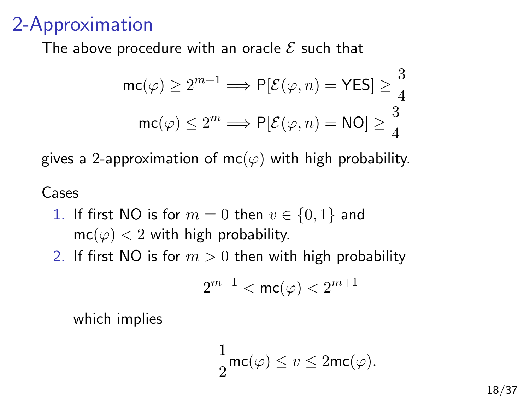#### 2-Approximation

The above procedure with an oracle  $\mathcal E$  such that

$$
\mathsf{mc}(\varphi) \ge 2^{m+1} \Longrightarrow \mathsf{P}[\mathcal{E}(\varphi, n) = \mathsf{YES}] \ge \frac{3}{4}
$$

$$
\mathsf{mc}(\varphi) \le 2^m \Longrightarrow \mathsf{P}[\mathcal{E}(\varphi, n) = \mathsf{NO}] \ge \frac{3}{4}
$$

gives a 2-approximation of mc( $\varphi$ ) with high probability.

#### Cases

- 1. If first NO is for  $m = 0$  then  $v \in \{0, 1\}$  and  $mc(\varphi) < 2$  with high probability.
- 2. If first NO is for  $m > 0$  then with high probability

$$
2^{m-1}<\mathsf{mc}(\varphi)<2^{m+1}
$$

which implies

$$
\frac{1}{2}\mathsf{mc}(\varphi) \le v \le 2\mathsf{mc}(\varphi).
$$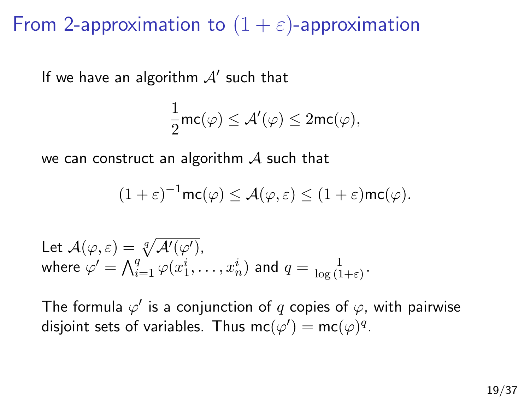From 2-approximation to  $(1 + \varepsilon)$ -approximation

If we have an algorithm  $A'$  such that

$$
\frac{1}{2} \mathsf{mc}(\varphi) \leq \mathcal{A}'(\varphi) \leq 2 \mathsf{mc}(\varphi),
$$

we can construct an algorithm  $\mathcal A$  such that

$$
(1+\varepsilon)^{-1}\mathrm{mc}(\varphi)\leq \mathcal{A}(\varphi,\varepsilon)\leq (1+\varepsilon)\mathrm{mc}(\varphi).
$$

Let 
$$
\mathcal{A}(\varphi, \varepsilon) = \sqrt[q]{\mathcal{A}'(\varphi')}
$$
,  
where  $\varphi' = \bigwedge_{i=1}^q \varphi(x_1^i, \dots, x_n^i)$  and  $q = \frac{1}{\log(1+\varepsilon)}$ .

The formula  $\varphi'$  is a conjunction of  $q$  copies of  $\varphi$ , with pairwise disjoint sets of variables. Thus  $\mathsf{mc}(\varphi') = \mathsf{mc}(\varphi)^q$ .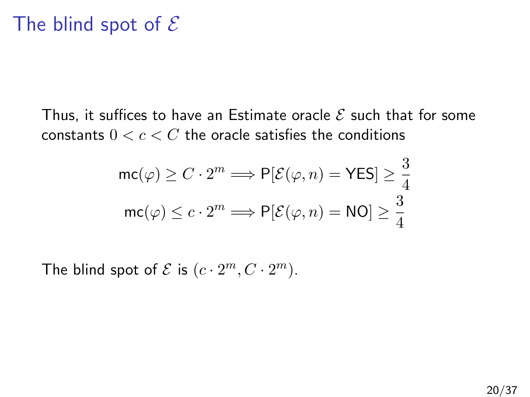#### The blind spot of  $\mathcal E$

Thus, it suffices to have an Estimate oracle  $\mathcal E$  such that for some constants  $0 < c < C$  the oracle satisfies the conditions

$$
\mathsf{mc}(\varphi) \ge C \cdot 2^m \Longrightarrow \mathsf{P}[\mathcal{E}(\varphi, n) = \mathsf{YES}] \ge \frac{3}{4}
$$

$$
\mathsf{mc}(\varphi) \le c \cdot 2^m \Longrightarrow \mathsf{P}[\mathcal{E}(\varphi, n) = \mathsf{NO}] \ge \frac{3}{4}
$$

The blind spot of  $\mathcal E$  is  $(c \cdot 2^m, C \cdot 2^m)$ .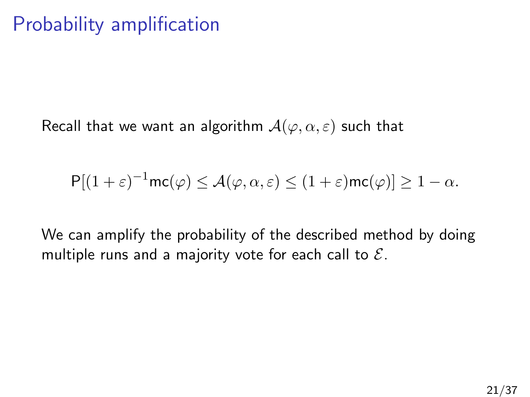# Probability amplification

Recall that we want an algorithm  $\mathcal{A}(\varphi,\alpha,\varepsilon)$  such that

$$
\mathsf{P}[(1+\varepsilon)^{-1}\mathsf{mc}(\varphi) \leq \mathcal{A}(\varphi,\alpha,\varepsilon) \leq (1+\varepsilon)\mathsf{mc}(\varphi)] \geq 1-\alpha.
$$

We can amplify the probability of the described method by doing multiple runs and a majority vote for each call to  $\mathcal{E}$ .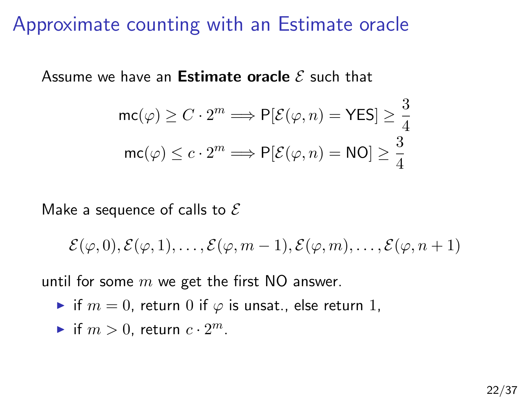#### Approximate counting with an Estimate oracle

Assume we have an **Estimate oracle**  $\mathcal E$  such that

$$
\mathsf{mc}(\varphi) \ge C \cdot 2^m \Longrightarrow \mathsf{P}[\mathcal{E}(\varphi, n) = \mathsf{YES}] \ge \frac{3}{4}
$$

$$
\mathsf{mc}(\varphi) \le c \cdot 2^m \Longrightarrow \mathsf{P}[\mathcal{E}(\varphi, n) = \mathsf{NO}] \ge \frac{3}{4}
$$

Make a sequence of calls to  $\mathcal E$ 

$$
\mathcal{E}(\varphi,0),\mathcal{E}(\varphi,1),\ldots,\mathcal{E}(\varphi,m-1),\mathcal{E}(\varphi,m),\ldots,\mathcal{E}(\varphi,n+1)
$$

until for some  $m$  we get the first NO answer.

- If  $m = 0$ , return 0 if  $\varphi$  is unsat., else return 1,
- if  $m > 0$ , return  $c \cdot 2^m$ .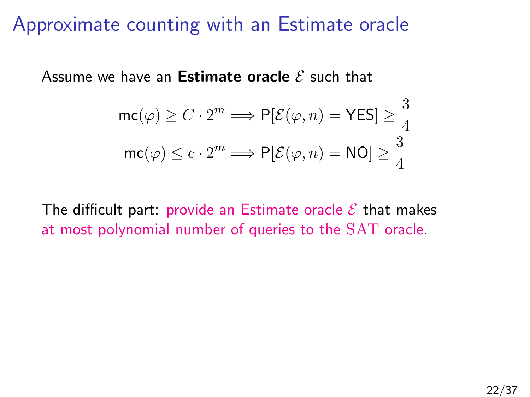#### Approximate counting with an Estimate oracle

Assume we have an **Estimate oracle**  $\mathcal E$  such that

$$
\mathsf{mc}(\varphi) \ge C \cdot 2^m \Longrightarrow \mathsf{P}[\mathcal{E}(\varphi, n) = \mathsf{YES}] \ge \frac{3}{4}
$$

$$
\mathsf{mc}(\varphi) \le c \cdot 2^m \Longrightarrow \mathsf{P}[\mathcal{E}(\varphi, n) = \mathsf{NO}] \ge \frac{3}{4}
$$

The difficult part: provide an Estimate oracle  $\mathcal E$  that makes at most polynomial number of queries to the SAT oracle.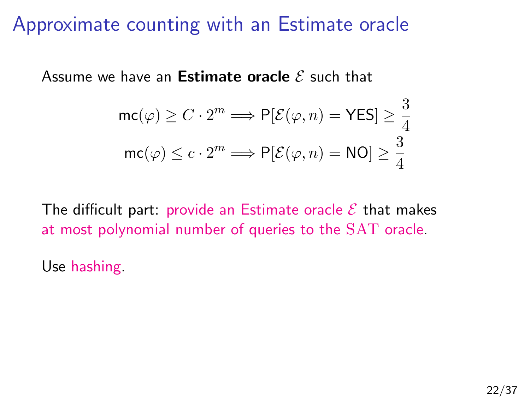#### Approximate counting with an Estimate oracle

Assume we have an **Estimate oracle**  $\mathcal E$  such that

$$
\mathsf{mc}(\varphi) \ge C \cdot 2^m \Longrightarrow \mathsf{P}[\mathcal{E}(\varphi, n) = \mathsf{YES}] \ge \frac{3}{4}
$$

$$
\mathsf{mc}(\varphi) \le c \cdot 2^m \Longrightarrow \mathsf{P}[\mathcal{E}(\varphi, n) = \mathsf{NO}] \ge \frac{3}{4}
$$

The difficult part: provide an Estimate oracle  $\mathcal E$  that makes at most polynomial number of queries to the SAT oracle.

Use hashing.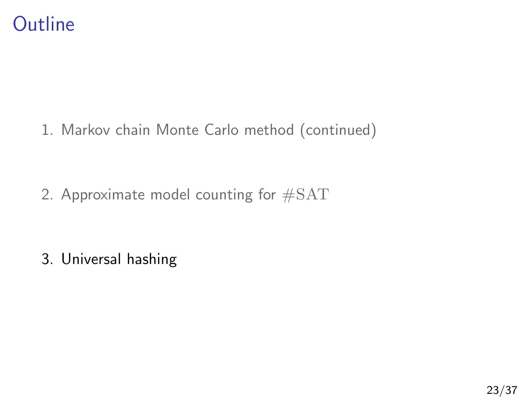

1. [Markov chain Monte Carlo method \(continued\)](#page-3-0)

2. [Approximate model counting for](#page-15-0) #SAT

<span id="page-28-0"></span>3. [Universal hashing](#page-28-0)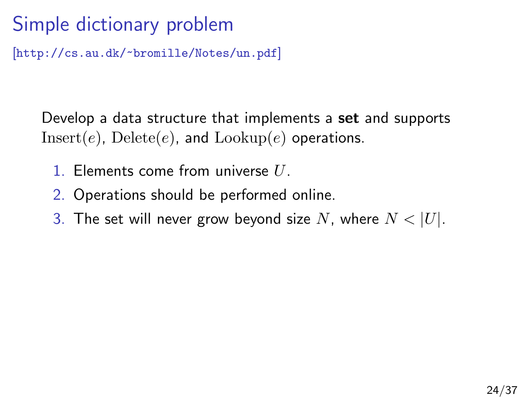# Simple dictionary problem

[<http://cs.au.dk/~bromille/Notes/un.pdf>]

Develop a data structure that implements a set and supports  $Insert(e)$ ,  $Delete(e)$ , and  $Lookup(e)$  operations.

- 1. Elements come from universe  $U$ .
- 2. Operations should be performed online.
- 3. The set will never grow beyond size N, where  $N < |U|$ .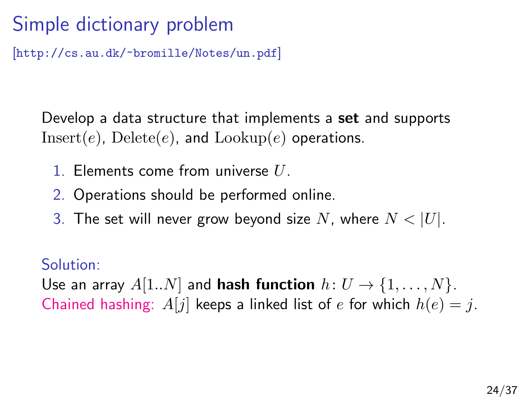# Simple dictionary problem

[<http://cs.au.dk/~bromille/Notes/un.pdf>]

Develop a data structure that implements a **set** and supports  $Insert(e)$ ,  $Delete(e)$ , and  $Lookup(e)$  operations.

- 1. Elements come from universe  $U$ .
- 2. Operations should be performed online.
- 3. The set will never grow beyond size N, where  $N < |U|$ .

#### Solution:

Use an array  $A[1..N]$  and **hash function**  $h: U \rightarrow \{1, ..., N\}$ . Chained hashing:  $A[j]$  keeps a linked list of e for which  $h(e) = j$ .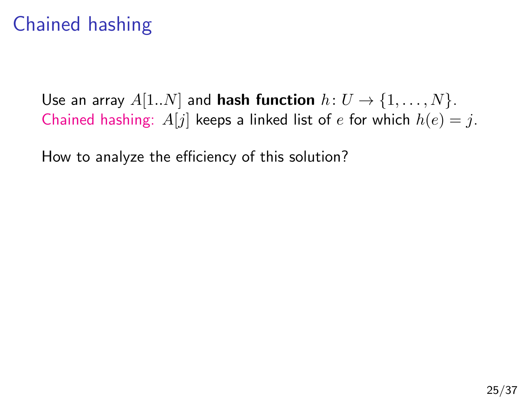# Chained hashing

Use an array  $A[1..N]$  and **hash function**  $h: U \rightarrow \{1, ..., N\}$ . Chained hashing:  $A[j]$  keeps a linked list of e for which  $h(e) = j$ .

How to analyze the efficiency of this solution?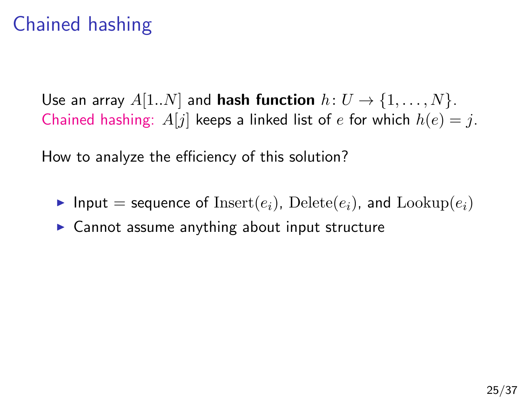# Chained hashing

Use an array  $A[1..N]$  and **hash function**  $h: U \rightarrow \{1, ..., N\}$ . Chained hashing:  $A[j]$  keeps a linked list of e for which  $h(e) = j$ .

How to analyze the efficiency of this solution?

- Input = sequence of  $Insert(e_i)$ ,  $Delete(e_i)$ , and  $Lookup(e_i)$
- $\triangleright$  Cannot assume anything about input structure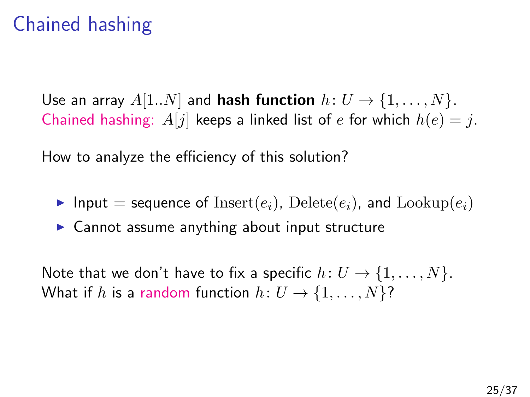# Chained hashing

Use an array  $A[1..N]$  and **hash function**  $h: U \rightarrow \{1, ..., N\}$ . Chained hashing:  $A[j]$  keeps a linked list of e for which  $h(e) = j$ .

How to analyze the efficiency of this solution?

- Input = sequence of  $Insert(e_i)$ ,  $Delete(e_i)$ , and  $Lookup(e_i)$
- $\triangleright$  Cannot assume anything about input structure

Note that we don't have to fix a specific  $h: U \rightarrow \{1, \ldots, N\}.$ What if h is a random function  $h: U \rightarrow \{1, \ldots, N\}$ ?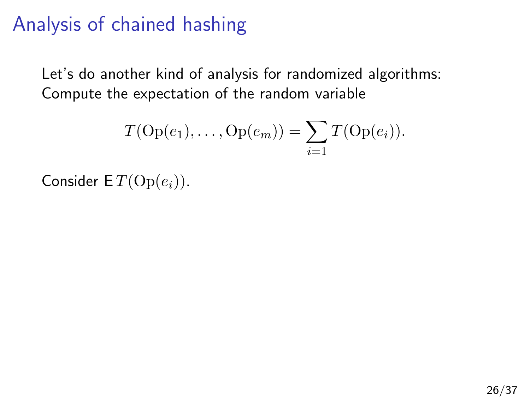Let's do another kind of analysis for randomized algorithms: Compute the expectation of the random variable

$$
T(\text{Op}(e_1),\ldots,\text{Op}(e_m))=\sum_{i=1}T(\text{Op}(e_i)).
$$

Consider  $ET(\text{Op}(e_i))$ .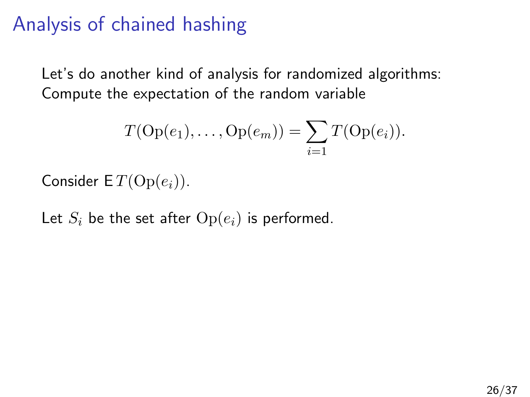Let's do another kind of analysis for randomized algorithms: Compute the expectation of the random variable

$$
T(\text{Op}(e_1),\ldots,\text{Op}(e_m))=\sum_{i=1}T(\text{Op}(e_i)).
$$

Consider  $ET(\text{Op}(e_i))$ .

Let  $S_i$  be the set after  $Op(e_i)$  is performed.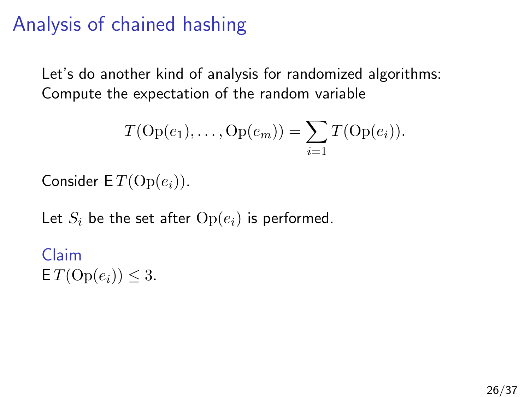Let's do another kind of analysis for randomized algorithms: Compute the expectation of the random variable

$$
T(\text{Op}(e_1),\ldots,\text{Op}(e_m))=\sum_{i=1}T(\text{Op}(e_i)).
$$

Consider  $ET(\text{Op}(e_i))$ .

Let  $S_i$  be the set after  $Op(e_i)$  is performed.

Claim  $\mathsf{E} T(\mathrm{Op}(e_i)) \leq 3.$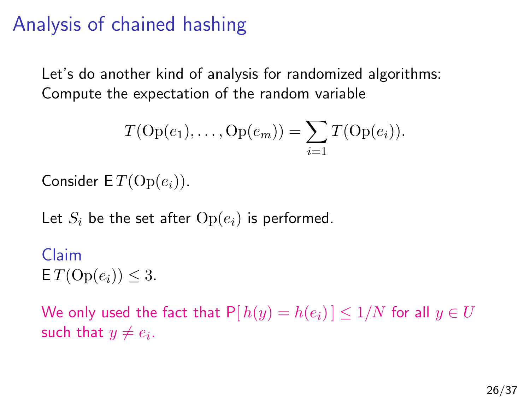Let's do another kind of analysis for randomized algorithms: Compute the expectation of the random variable

$$
T(\text{Op}(e_1),\ldots,\text{Op}(e_m))=\sum_{i=1}T(\text{Op}(e_i)).
$$

Consider  $ET(\text{Op}(e_i))$ .

Let  $S_i$  be the set after  $Op(e_i)$  is performed.

Claim  $\mathsf{E} T(\mathrm{Op}(e_i)) \leq 3.$ 

We only used the fact that  $P[h(y) = h(e_i)] \le 1/N$  for all  $y \in U$ such that  $y \neq e_i$ .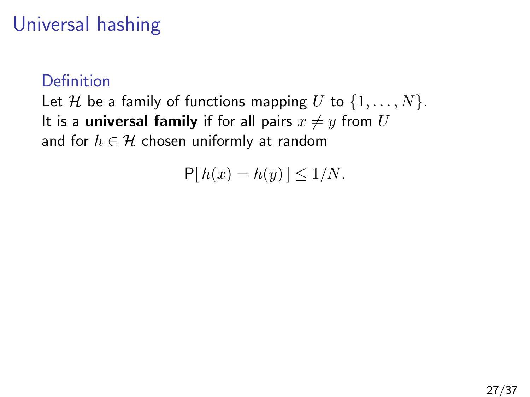## Universal hashing

#### Definition

Let H be a family of functions mapping U to  $\{1, \ldots, N\}$ . It is a universal family if for all pairs  $x \neq y$  from U and for  $h \in \mathcal{H}$  chosen uniformly at random

$$
\mathsf{P}[h(x) = h(y)] \le 1/N.
$$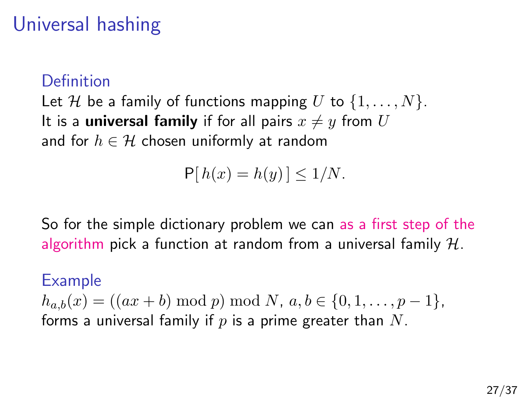### Universal hashing

#### Definition

Let H be a family of functions mapping U to  $\{1, \ldots, N\}$ . It is a **universal family** if for all pairs  $x \neq y$  from U and for  $h \in \mathcal{H}$  chosen uniformly at random

$$
\mathsf{P}[h(x) = h(y)] \le 1/N.
$$

So for the simple dictionary problem we can as a first step of the algorithm pick a function at random from a universal family  $H$ .

#### Example

 $h_{a,b}(x) = ((ax + b) \bmod p) \bmod N, a,b \in \{0,1,\ldots,p-1\},\$ forms a universal family if  $p$  is a prime greater than  $N$ .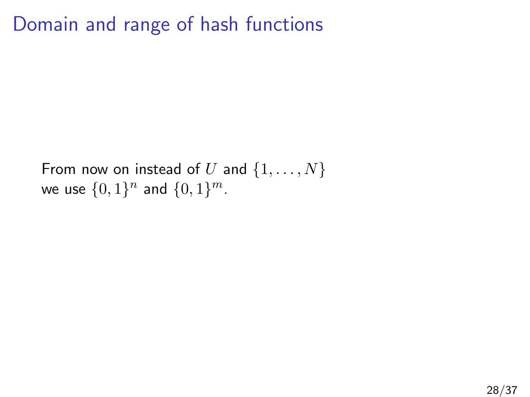#### Domain and range of hash functions

From now on instead of U and  $\{1, \ldots, N\}$ we use  $\{0,1\}^n$  and  $\{0,1\}^m$ .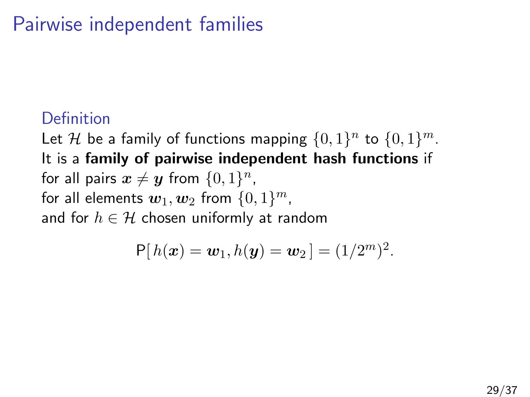### Pairwise independent families

#### Definition

Let H be a family of functions mapping  $\{0,1\}^n$  to  $\{0,1\}^m$ . It is a family of pairwise independent hash functions if for all pairs  $\boldsymbol{x} \neq \boldsymbol{y}$  from  $\{0, 1\}^n$ , for all elements  $\boldsymbol{w}_1,\boldsymbol{w}_2$  from  $\{0,1\}^m$ , and for  $h \in \mathcal{H}$  chosen uniformly at random

$$
P[h(\boldsymbol{x}) = \boldsymbol{w}_1, h(\boldsymbol{y}) = \boldsymbol{w}_2] = (1/2^m)^2.
$$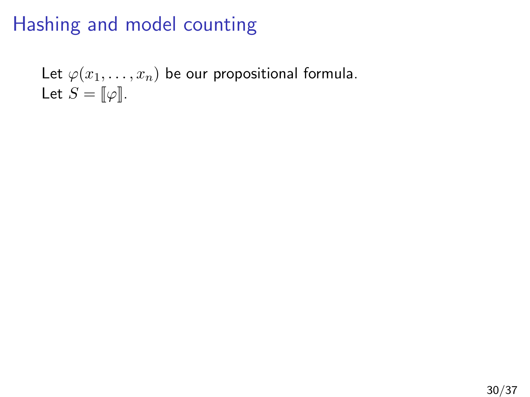Let  $\varphi(x_1,\ldots,x_n)$  be our propositional formula. Let  $S = \llbracket \varphi \rrbracket$ .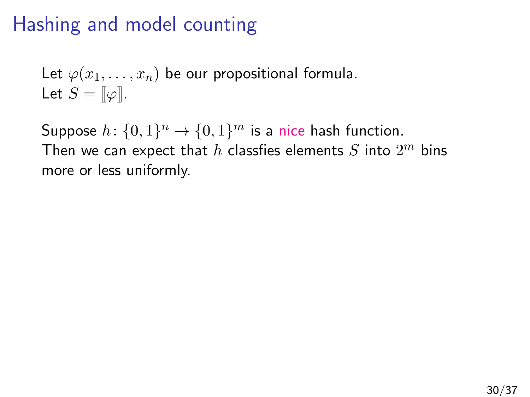Let  $\varphi(x_1, \ldots, x_n)$  be our propositional formula. Let  $S = \llbracket \varphi \rrbracket$ .

Suppose  $h: \{0,1\}^n \to \{0,1\}^m$  is a nice hash function. Then we can expect that  $h$  classfies elements  $S$  into  $2^m$  bins more or less uniformly.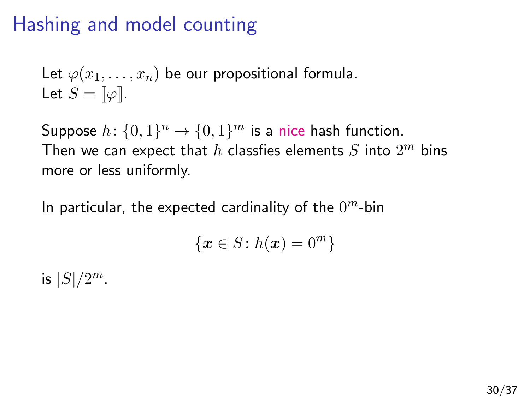Let  $\varphi(x_1,\ldots,x_n)$  be our propositional formula. Let  $S = \llbracket \varphi \rrbracket$ .

Suppose  $h: \{0,1\}^n \to \{0,1\}^m$  is a nice hash function. Then we can expect that  $h$  classfies elements  $S$  into  $2^m$  bins more or less uniformly.

In particular, the expected cardinality of the  $0^m$ -bin

$$
\{\boldsymbol{x}\in S\colon h(\boldsymbol{x})=0^m\}
$$

is  $|S|/2^m$ .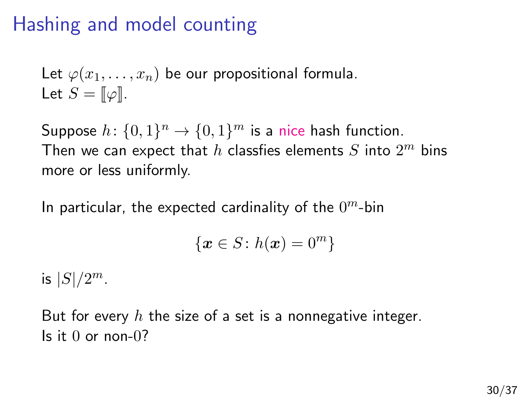Let  $\varphi(x_1,\ldots,x_n)$  be our propositional formula. Let  $S = \llbracket \varphi \rrbracket$ .

Suppose  $h: \{0,1\}^n \to \{0,1\}^m$  is a nice hash function. Then we can expect that  $h$  classfies elements  $S$  into  $2^m$  bins more or less uniformly.

In particular, the expected cardinality of the  $0^m$ -bin

$$
\{\boldsymbol{x}\in S\colon h(\boldsymbol{x})=0^m\}
$$

is  $|S|/2^m$ .

But for every  $h$  the size of a set is a nonnegative integer. Is it  $\theta$  or non- $\theta$ ?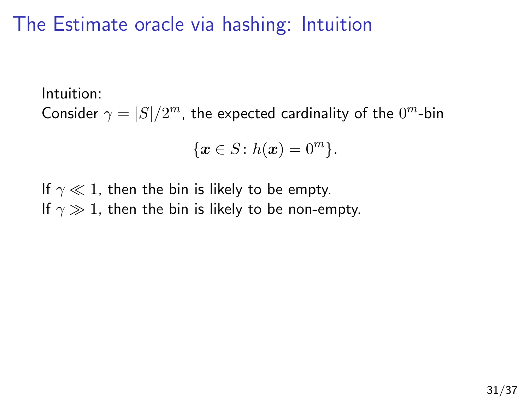#### The Estimate oracle via hashing: Intuition

Intuition:

Consider  $\gamma = |S|/2^m$ , the expected cardinality of the  $0^m$ -bin

$$
\{\boldsymbol{x} \in S \colon h(\boldsymbol{x}) = 0^m\}.
$$

If  $\gamma \ll 1$ , then the bin is likely to be empty. If  $\gamma \gg 1$ , then the bin is likely to be non-empty.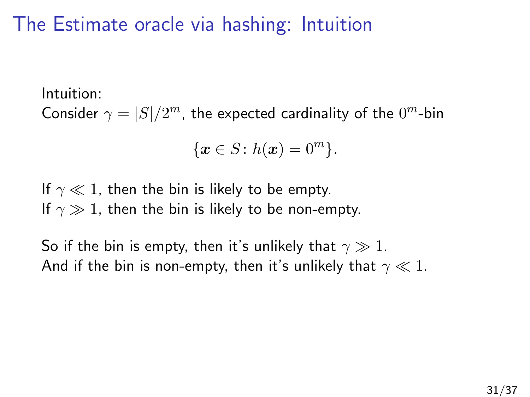#### The Estimate oracle via hashing: Intuition

Intuition:

Consider  $\gamma = |S|/2^m$ , the expected cardinality of the  $0^m$ -bin

$$
\{\boldsymbol{x} \in S \colon h(\boldsymbol{x}) = 0^m\}.
$$

If  $\gamma \ll 1$ , then the bin is likely to be empty. If  $\gamma \gg 1$ , then the bin is likely to be non-empty.

So if the bin is empty, then it's unlikely that  $\gamma \gg 1$ . And if the bin is non-empty, then it's unlikely that  $\gamma \ll 1$ .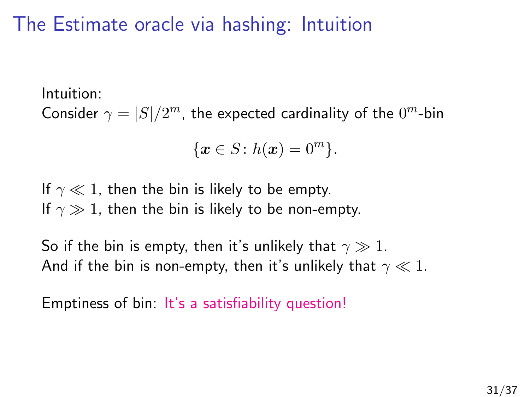#### The Estimate oracle via hashing: Intuition

Intuition:

Consider  $\gamma = |S|/2^m$ , the expected cardinality of the  $0^m$ -bin

$$
\{\boldsymbol{x} \in S \colon h(\boldsymbol{x}) = 0^m\}.
$$

If  $\gamma \ll 1$ , then the bin is likely to be empty. If  $\gamma \gg 1$ , then the bin is likely to be non-empty.

So if the bin is empty, then it's unlikely that  $\gamma \gg 1$ . And if the bin is non-empty, then it's unlikely that  $\gamma \ll 1$ .

Emptiness of bin: It's a satisfiability question!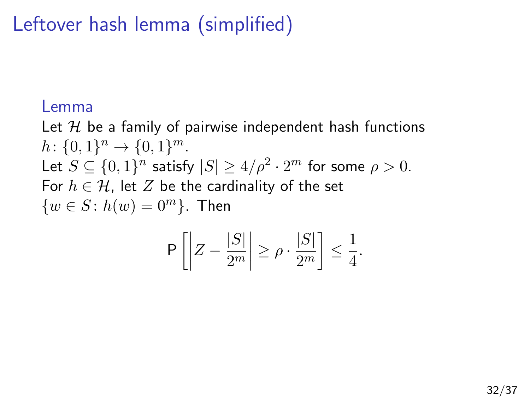# Leftover hash lemma (simplified)

#### Lemma

Let  $H$  be a family of pairwise independent hash functions  $h: \{0,1\}^n \to \{0,1\}^m$ . Let  $S \subseteq \{0,1\}^n$  satisfy  $|S| \ge 4/\rho^2 \cdot 2^m$  for some  $\rho > 0$ . For  $h \in \mathcal{H}$ , let Z be the cardinality of the set  $\{w \in S : h(w) = 0^m\}$ . Then

$$
P\left[\left|Z - \frac{|S|}{2^m}\right| \ge \rho \cdot \frac{|S|}{2^m}\right] \le \frac{1}{4}.
$$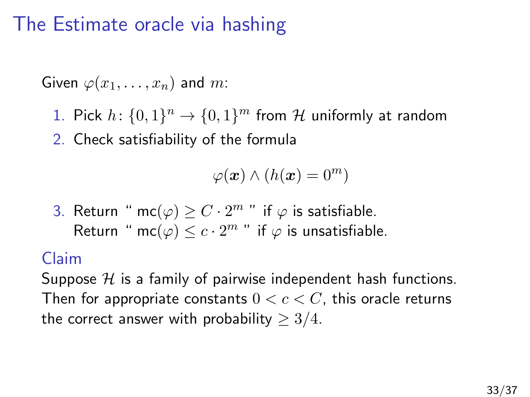#### The Estimate oracle via hashing

Given  $\varphi(x_1, \ldots, x_n)$  and m:

- 1. Pick  $h: \{0,1\}^n \to \{0,1\}^m$  from H uniformly at random
- 2. Check satisfiability of the formula

$$
\varphi(\boldsymbol{x})\wedge (h(\boldsymbol{x})=0^m)
$$

3. Return " mc $(\varphi) \geq C \cdot 2^m$  " if  $\varphi$  is satisfiable. Return " mc $(\varphi) \leq c \cdot 2^m$  " if  $\varphi$  is unsatisfiable.

#### Claim

Suppose  $H$  is a family of pairwise independent hash functions. Then for appropriate constants  $0 < c < C$ , this oracle returns the correct answer with probability  $\geq 3/4$ .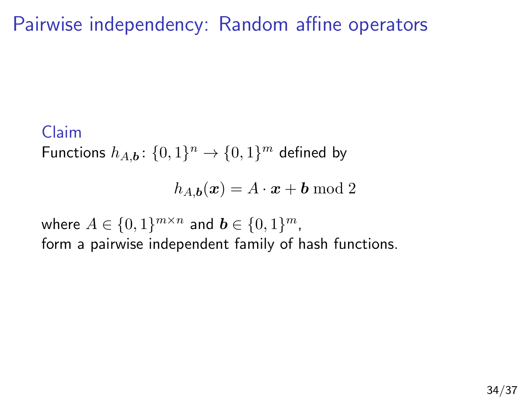Pairwise independency: Random affine operators

#### Claim

Functions  $h_{A,\boldsymbol{b}} \colon \{0,1\}^n \to \{0,1\}^m$  defined by

$$
h_{A,\boldsymbol{b}}(\boldsymbol{x}) = A \cdot \boldsymbol{x} + \boldsymbol{b} \bmod 2
$$

where  $A \in \{0,1\}^{m \times n}$  and  $\boldsymbol{b} \in \{0,1\}^m$ , form a pairwise independent family of hash functions.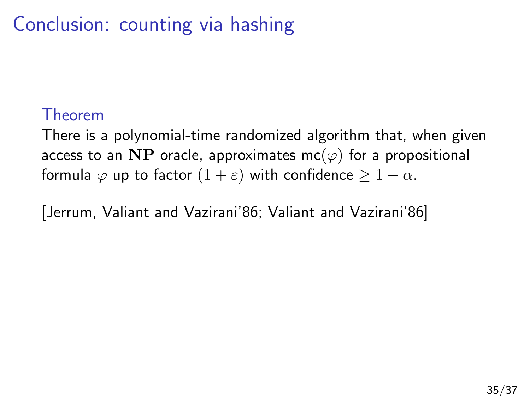# Conclusion: counting via hashing

#### Theorem

There is a polynomial-time randomized algorithm that, when given access to an NP oracle, approximates mc( $\varphi$ ) for a propositional formula  $\varphi$  up to factor  $(1 + \varepsilon)$  with confidence  $\geq 1 - \alpha$ .

[Jerrum, Valiant and Vazirani'86; Valiant and Vazirani'86]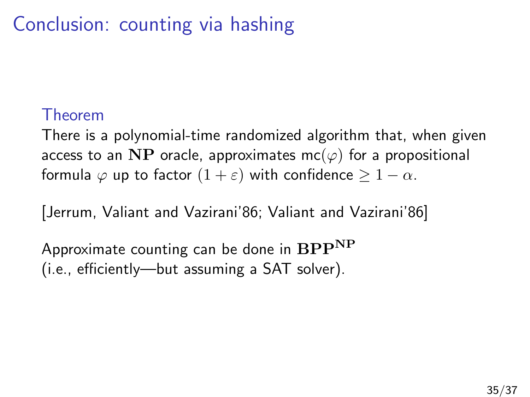# Conclusion: counting via hashing

#### Theorem

There is a polynomial-time randomized algorithm that, when given access to an NP oracle, approximates mc( $\varphi$ ) for a propositional formula  $\varphi$  up to factor  $(1 + \varepsilon)$  with confidence  $\geq 1 - \alpha$ .

[Jerrum, Valiant and Vazirani'86; Valiant and Vazirani'86]

Approximate counting can be done in  $BPP^{NP}$ (i.e., efficiently—but assuming a SAT solver).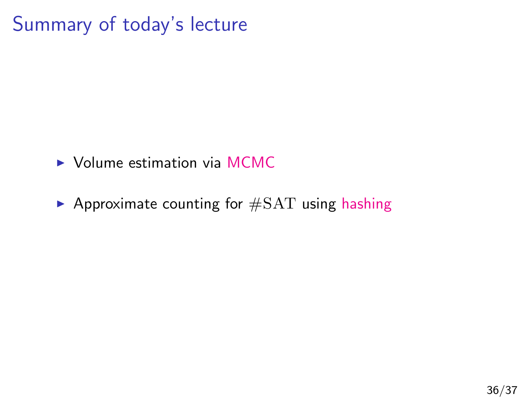## Summary of today's lecture

- $\triangleright$  Volume estimation via MCMC
- $\blacktriangleright$  Approximate counting for  $\#SAT$  using hashing